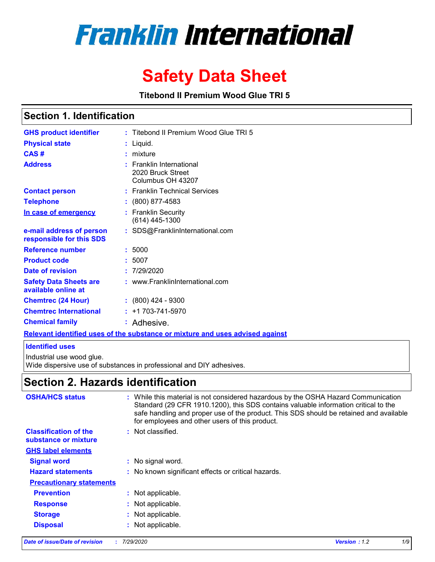# **Franklin International**

# **Safety Data Sheet**

**Titebond II Premium Wood Glue TRI 5**

### **Section 1. Identification**

| <b>GHS product identifier</b>                        |   | : Titebond II Premium Wood Glue TRI 5                                         |
|------------------------------------------------------|---|-------------------------------------------------------------------------------|
| <b>Physical state</b>                                |   | Liquid.                                                                       |
| CAS#                                                 |   | $:$ mixture                                                                   |
| <b>Address</b>                                       | ÷ | <b>Franklin International</b><br>2020 Bruck Street<br>Columbus OH 43207       |
| <b>Contact person</b>                                |   | : Franklin Technical Services                                                 |
| <b>Telephone</b>                                     |   | $: (800) 877 - 4583$                                                          |
| In case of emergency                                 |   | <b>Franklin Security</b><br>(614) 445-1300                                    |
| e-mail address of person<br>responsible for this SDS |   | : SDS@FranklinInternational.com                                               |
| <b>Reference number</b>                              |   | : 5000                                                                        |
| <b>Product code</b>                                  |   | : 5007                                                                        |
| Date of revision                                     |   | 7/29/2020                                                                     |
| <b>Safety Data Sheets are</b><br>available online at |   | : www.FranklinInternational.com                                               |
| <b>Chemtrec (24 Hour)</b>                            |   | $: (800)$ 424 - 9300                                                          |
| <b>Chemtrec International</b>                        |   | $: +1703 - 741 - 5970$                                                        |
| <b>Chemical family</b>                               |   | : Adhesive.                                                                   |
|                                                      |   | Relevant identified uses of the substance or mixture and uses advised against |

#### **Identified uses**

Industrial use wood glue.

Wide dispersive use of substances in professional and DIY adhesives.

### **Section 2. Hazards identification**

| <b>OSHA/HCS status</b>                               |    | : While this material is not considered hazardous by the OSHA Hazard Communication<br>Standard (29 CFR 1910.1200), this SDS contains valuable information critical to the<br>safe handling and proper use of the product. This SDS should be retained and available<br>for employees and other users of this product. |
|------------------------------------------------------|----|-----------------------------------------------------------------------------------------------------------------------------------------------------------------------------------------------------------------------------------------------------------------------------------------------------------------------|
| <b>Classification of the</b><br>substance or mixture | ÷. | Not classified.                                                                                                                                                                                                                                                                                                       |
| <b>GHS label elements</b>                            |    |                                                                                                                                                                                                                                                                                                                       |
| <b>Signal word</b>                                   |    | : No signal word.                                                                                                                                                                                                                                                                                                     |
| <b>Hazard statements</b>                             |    | : No known significant effects or critical hazards.                                                                                                                                                                                                                                                                   |
| <b>Precautionary statements</b>                      |    |                                                                                                                                                                                                                                                                                                                       |
| <b>Prevention</b>                                    |    | : Not applicable.                                                                                                                                                                                                                                                                                                     |
| <b>Response</b>                                      |    | Not applicable.                                                                                                                                                                                                                                                                                                       |
| <b>Storage</b>                                       |    | Not applicable.                                                                                                                                                                                                                                                                                                       |
| <b>Disposal</b>                                      |    | Not applicable.                                                                                                                                                                                                                                                                                                       |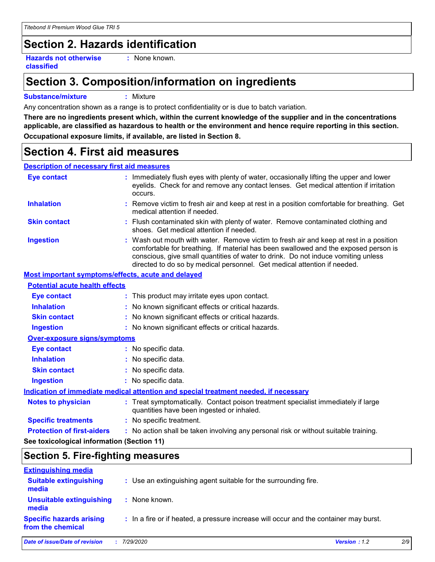## **Section 2. Hazards identification**

**Hazards not otherwise classified**

**:** None known.

### **Section 3. Composition/information on ingredients**

#### **Substance/mixture :** Mixture

Any concentration shown as a range is to protect confidentiality or is due to batch variation.

**There are no ingredients present which, within the current knowledge of the supplier and in the concentrations applicable, are classified as hazardous to health or the environment and hence require reporting in this section. Occupational exposure limits, if available, are listed in Section 8.**

### **Section 4. First aid measures**

### **Description of necessary first aid measures**

| <b>Eye contact</b>                                 | : Immediately flush eyes with plenty of water, occasionally lifting the upper and lower<br>eyelids. Check for and remove any contact lenses. Get medical attention if irritation                                                                                                                                                               |
|----------------------------------------------------|------------------------------------------------------------------------------------------------------------------------------------------------------------------------------------------------------------------------------------------------------------------------------------------------------------------------------------------------|
|                                                    | occurs.                                                                                                                                                                                                                                                                                                                                        |
| <b>Inhalation</b>                                  | : Remove victim to fresh air and keep at rest in a position comfortable for breathing. Get<br>medical attention if needed.                                                                                                                                                                                                                     |
| <b>Skin contact</b>                                | : Flush contaminated skin with plenty of water. Remove contaminated clothing and<br>shoes. Get medical attention if needed.                                                                                                                                                                                                                    |
| <b>Ingestion</b>                                   | : Wash out mouth with water. Remove victim to fresh air and keep at rest in a position<br>comfortable for breathing. If material has been swallowed and the exposed person is<br>conscious, give small quantities of water to drink. Do not induce vomiting unless<br>directed to do so by medical personnel. Get medical attention if needed. |
| Most important symptoms/effects, acute and delayed |                                                                                                                                                                                                                                                                                                                                                |
| <b>Potential acute health effects</b>              |                                                                                                                                                                                                                                                                                                                                                |
| <b>Eye contact</b>                                 | : This product may irritate eyes upon contact.                                                                                                                                                                                                                                                                                                 |
| <b>Inhalation</b>                                  | : No known significant effects or critical hazards.                                                                                                                                                                                                                                                                                            |
| <b>Skin contact</b>                                | : No known significant effects or critical hazards.                                                                                                                                                                                                                                                                                            |
| <b>Ingestion</b>                                   | : No known significant effects or critical hazards.                                                                                                                                                                                                                                                                                            |
| <b>Over-exposure signs/symptoms</b>                |                                                                                                                                                                                                                                                                                                                                                |
| <b>Eye contact</b>                                 | : No specific data.                                                                                                                                                                                                                                                                                                                            |
| <b>Inhalation</b>                                  | : No specific data.                                                                                                                                                                                                                                                                                                                            |
| <b>Skin contact</b>                                | : No specific data.                                                                                                                                                                                                                                                                                                                            |
| <b>Ingestion</b>                                   | : No specific data.                                                                                                                                                                                                                                                                                                                            |
|                                                    | Indication of immediate medical attention and special treatment needed, if necessary                                                                                                                                                                                                                                                           |
| <b>Notes to physician</b>                          | : Treat symptomatically. Contact poison treatment specialist immediately if large<br>quantities have been ingested or inhaled.                                                                                                                                                                                                                 |
| <b>Specific treatments</b>                         | : No specific treatment.                                                                                                                                                                                                                                                                                                                       |
| <b>Protection of first-aiders</b>                  | : No action shall be taken involving any personal risk or without suitable training.                                                                                                                                                                                                                                                           |
| See toxicological information (Section 11)         |                                                                                                                                                                                                                                                                                                                                                |

## **Section 5. Fire-fighting measures**

| <b>Extinguishing media</b>                           |                                                                                       |              |     |
|------------------------------------------------------|---------------------------------------------------------------------------------------|--------------|-----|
| <b>Suitable extinguishing</b><br>media               | : Use an extinguishing agent suitable for the surrounding fire.                       |              |     |
| <b>Unsuitable extinguishing</b><br>media             | : None known.                                                                         |              |     |
| <b>Specific hazards arising</b><br>from the chemical | : In a fire or if heated, a pressure increase will occur and the container may burst. |              |     |
| Date of issue/Date of revision                       | 7/29/2020                                                                             | Version: 1.2 | 2/9 |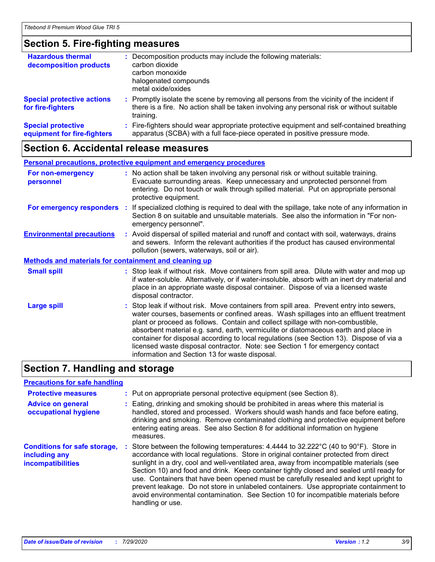## **Section 5. Fire-fighting measures**

| <b>Hazardous thermal</b><br>decomposition products       | Decomposition products may include the following materials:<br>carbon dioxide<br>carbon monoxide<br>halogenated compounds<br>metal oxide/oxides                                                     |
|----------------------------------------------------------|-----------------------------------------------------------------------------------------------------------------------------------------------------------------------------------------------------|
| <b>Special protective actions</b><br>for fire-fighters   | : Promptly isolate the scene by removing all persons from the vicinity of the incident if<br>there is a fire. No action shall be taken involving any personal risk or without suitable<br>training. |
| <b>Special protective</b><br>equipment for fire-fighters | : Fire-fighters should wear appropriate protective equipment and self-contained breathing<br>apparatus (SCBA) with a full face-piece operated in positive pressure mode.                            |

### **Section 6. Accidental release measures**

|                                                              | <b>Personal precautions, protective equipment and emergency procedures</b>                                                                                                                                                                                                                                                                                                                                                                                                                                                                                                                 |
|--------------------------------------------------------------|--------------------------------------------------------------------------------------------------------------------------------------------------------------------------------------------------------------------------------------------------------------------------------------------------------------------------------------------------------------------------------------------------------------------------------------------------------------------------------------------------------------------------------------------------------------------------------------------|
| For non-emergency<br>personnel                               | : No action shall be taken involving any personal risk or without suitable training.<br>Evacuate surrounding areas. Keep unnecessary and unprotected personnel from<br>entering. Do not touch or walk through spilled material. Put on appropriate personal<br>protective equipment.                                                                                                                                                                                                                                                                                                       |
| For emergency responders                                     | : If specialized clothing is required to deal with the spillage, take note of any information in<br>Section 8 on suitable and unsuitable materials. See also the information in "For non-<br>emergency personnel".                                                                                                                                                                                                                                                                                                                                                                         |
| <b>Environmental precautions</b>                             | : Avoid dispersal of spilled material and runoff and contact with soil, waterways, drains<br>and sewers. Inform the relevant authorities if the product has caused environmental<br>pollution (sewers, waterways, soil or air).                                                                                                                                                                                                                                                                                                                                                            |
| <b>Methods and materials for containment and cleaning up</b> |                                                                                                                                                                                                                                                                                                                                                                                                                                                                                                                                                                                            |
| <b>Small spill</b>                                           | : Stop leak if without risk. Move containers from spill area. Dilute with water and mop up<br>if water-soluble. Alternatively, or if water-insoluble, absorb with an inert dry material and<br>place in an appropriate waste disposal container. Dispose of via a licensed waste<br>disposal contractor.                                                                                                                                                                                                                                                                                   |
| <b>Large spill</b>                                           | : Stop leak if without risk. Move containers from spill area. Prevent entry into sewers,<br>water courses, basements or confined areas. Wash spillages into an effluent treatment<br>plant or proceed as follows. Contain and collect spillage with non-combustible,<br>absorbent material e.g. sand, earth, vermiculite or diatomaceous earth and place in<br>container for disposal according to local regulations (see Section 13). Dispose of via a<br>licensed waste disposal contractor. Note: see Section 1 for emergency contact<br>information and Section 13 for waste disposal. |

## **Section 7. Handling and storage**

#### **Precautions for safe handling**

| <b>Protective measures</b>                                                | : Put on appropriate personal protective equipment (see Section 8).                                                                                                                                                                                                                                                                                                                                                                                                                                                                                                                                                                                            |
|---------------------------------------------------------------------------|----------------------------------------------------------------------------------------------------------------------------------------------------------------------------------------------------------------------------------------------------------------------------------------------------------------------------------------------------------------------------------------------------------------------------------------------------------------------------------------------------------------------------------------------------------------------------------------------------------------------------------------------------------------|
| <b>Advice on general</b><br>occupational hygiene                          | Eating, drinking and smoking should be prohibited in areas where this material is<br>handled, stored and processed. Workers should wash hands and face before eating,<br>drinking and smoking. Remove contaminated clothing and protective equipment before<br>entering eating areas. See also Section 8 for additional information on hygiene<br>measures.                                                                                                                                                                                                                                                                                                    |
| <b>Conditions for safe storage,</b><br>including any<br>incompatibilities | Store between the following temperatures: 4.4444 to 32.222°C (40 to 90°F). Store in<br>accordance with local regulations. Store in original container protected from direct<br>sunlight in a dry, cool and well-ventilated area, away from incompatible materials (see<br>Section 10) and food and drink. Keep container tightly closed and sealed until ready for<br>use. Containers that have been opened must be carefully resealed and kept upright to<br>prevent leakage. Do not store in unlabeled containers. Use appropriate containment to<br>avoid environmental contamination. See Section 10 for incompatible materials before<br>handling or use. |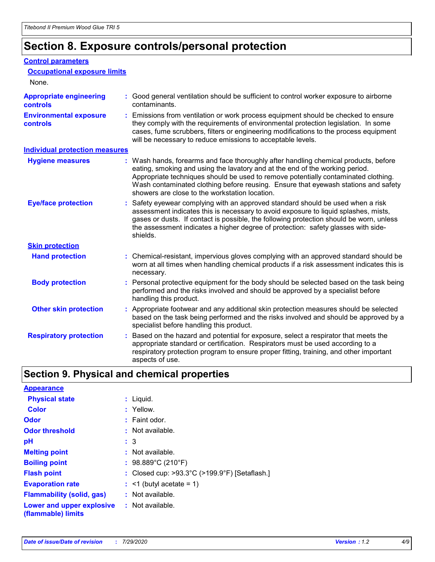### **Section 8. Exposure controls/personal protection**

#### **Control parameters**

| <b>Occupational exposure limits</b>               |                                                                                                                                                                                                                                                                                                                                                                                                   |
|---------------------------------------------------|---------------------------------------------------------------------------------------------------------------------------------------------------------------------------------------------------------------------------------------------------------------------------------------------------------------------------------------------------------------------------------------------------|
| None.                                             |                                                                                                                                                                                                                                                                                                                                                                                                   |
| <b>Appropriate engineering</b><br><b>controls</b> | : Good general ventilation should be sufficient to control worker exposure to airborne<br>contaminants.                                                                                                                                                                                                                                                                                           |
| <b>Environmental exposure</b><br><b>controls</b>  | : Emissions from ventilation or work process equipment should be checked to ensure<br>they comply with the requirements of environmental protection legislation. In some<br>cases, fume scrubbers, filters or engineering modifications to the process equipment<br>will be necessary to reduce emissions to acceptable levels.                                                                   |
| <b>Individual protection measures</b>             |                                                                                                                                                                                                                                                                                                                                                                                                   |
| <b>Hygiene measures</b>                           | : Wash hands, forearms and face thoroughly after handling chemical products, before<br>eating, smoking and using the lavatory and at the end of the working period.<br>Appropriate techniques should be used to remove potentially contaminated clothing.<br>Wash contaminated clothing before reusing. Ensure that eyewash stations and safety<br>showers are close to the workstation location. |
| <b>Eye/face protection</b>                        | : Safety eyewear complying with an approved standard should be used when a risk<br>assessment indicates this is necessary to avoid exposure to liquid splashes, mists,<br>gases or dusts. If contact is possible, the following protection should be worn, unless<br>the assessment indicates a higher degree of protection: safety glasses with side-<br>shields.                                |
| <b>Skin protection</b>                            |                                                                                                                                                                                                                                                                                                                                                                                                   |
| <b>Hand protection</b>                            | : Chemical-resistant, impervious gloves complying with an approved standard should be<br>worn at all times when handling chemical products if a risk assessment indicates this is<br>necessary.                                                                                                                                                                                                   |
| <b>Body protection</b>                            | : Personal protective equipment for the body should be selected based on the task being<br>performed and the risks involved and should be approved by a specialist before<br>handling this product.                                                                                                                                                                                               |
| <b>Other skin protection</b>                      | : Appropriate footwear and any additional skin protection measures should be selected<br>based on the task being performed and the risks involved and should be approved by a<br>specialist before handling this product.                                                                                                                                                                         |
| <b>Respiratory protection</b>                     | Based on the hazard and potential for exposure, select a respirator that meets the<br>appropriate standard or certification. Respirators must be used according to a<br>respiratory protection program to ensure proper fitting, training, and other important<br>aspects of use.                                                                                                                 |

### **Section 9. Physical and chemical properties**

| <b>Appearance</b>                                                       |                                                                    |
|-------------------------------------------------------------------------|--------------------------------------------------------------------|
| <b>Physical state</b>                                                   | : Liquid.                                                          |
| <b>Color</b>                                                            | : Yellow.                                                          |
| Odor                                                                    | $:$ Faint odor.                                                    |
| <b>Odor threshold</b>                                                   | : Not available.                                                   |
| рH                                                                      | $\colon$ 3                                                         |
| <b>Melting point</b>                                                    | $:$ Not available.                                                 |
| <b>Boiling point</b>                                                    | : $98.889^{\circ}$ C (210 $^{\circ}$ F)                            |
| <b>Flash point</b>                                                      | : Closed cup: $>93.3^{\circ}$ C ( $>199.9^{\circ}$ F) [Setaflash.] |
| <b>Evaporation rate</b>                                                 | $:$ <1 (butyl acetate = 1)                                         |
| <b>Flammability (solid, gas)</b>                                        | $:$ Not available.                                                 |
| <b>Lower and upper explosive : Not available.</b><br>(flammable) limits |                                                                    |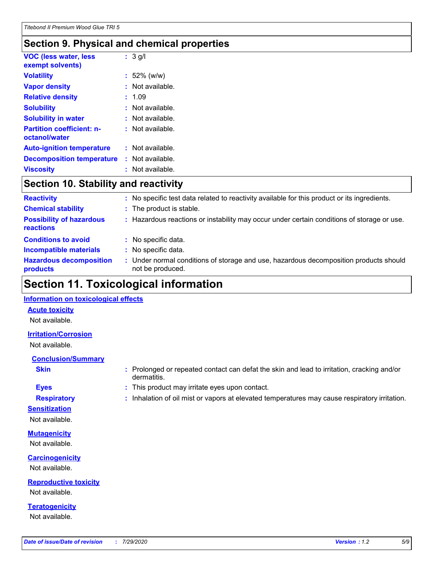### **Section 9. Physical and chemical properties**

| <b>VOC (less water, less</b><br>exempt solvents)  | $: 3$ g/l        |
|---------------------------------------------------|------------------|
| <b>Volatility</b>                                 | $: 52\%$ (w/w)   |
| <b>Vapor density</b>                              | Not available.   |
| <b>Relative density</b>                           | : 1.09           |
| <b>Solubility</b>                                 | : Not available. |
| <b>Solubility in water</b>                        | Not available.   |
| <b>Partition coefficient: n-</b><br>octanol/water | : Not available. |
| <b>Auto-ignition temperature</b>                  | : Not available. |
| <b>Decomposition temperature</b>                  | : Not available. |
| <b>Viscosity</b>                                  | Not available.   |

### **Section 10. Stability and reactivity**

| <b>Reactivity</b>                            |    | : No specific test data related to reactivity available for this product or its ingredients.            |
|----------------------------------------------|----|---------------------------------------------------------------------------------------------------------|
| <b>Chemical stability</b>                    |    | : The product is stable.                                                                                |
| <b>Possibility of hazardous</b><br>reactions |    | : Hazardous reactions or instability may occur under certain conditions of storage or use.              |
| <b>Conditions to avoid</b>                   | t. | No specific data.                                                                                       |
| <b>Incompatible materials</b>                |    | No specific data.                                                                                       |
| <b>Hazardous decomposition</b><br>products   | ÷. | Under normal conditions of storage and use, hazardous decomposition products should<br>not be produced. |

### **Section 11. Toxicological information**

#### **Information on toxicological effects**

#### **Acute toxicity**

Not available.

#### **Irritation/Corrosion**

Not available.

### **Conclusion/Summary**

- 
- **Sensitization**

Not available.

### **Mutagenicity**

Not available.

### **Carcinogenicity** Not available.

**Reproductive toxicity** Not available.

**Teratogenicity** Not available.

- **Skin Example 3 :** Prolonged or repeated contact can defat the skin and lead to irritation, cracking and/or dermatitis.
- **Eyes :** This product may irritate eyes upon contact.
- **Respiratory :** Inhalation of oil mist or vapors at elevated temperatures may cause respiratory irritation.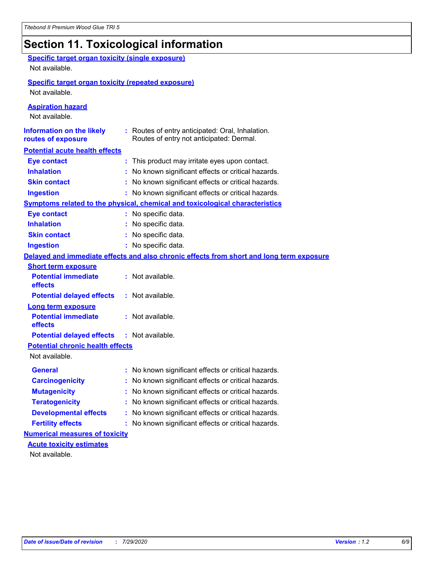# **Section 11. Toxicological information**

| <b>Specific target organ toxicity (single exposure)</b><br>Not available. |                                                                                              |
|---------------------------------------------------------------------------|----------------------------------------------------------------------------------------------|
| <b>Specific target organ toxicity (repeated exposure)</b>                 |                                                                                              |
| Not available.                                                            |                                                                                              |
| <b>Aspiration hazard</b><br>Not available.                                |                                                                                              |
| <b>Information on the likely</b><br>routes of exposure                    | : Routes of entry anticipated: Oral, Inhalation.<br>Routes of entry not anticipated: Dermal. |
| <b>Potential acute health effects</b>                                     |                                                                                              |
| <b>Eye contact</b>                                                        | : This product may irritate eyes upon contact.                                               |
| <b>Inhalation</b>                                                         | No known significant effects or critical hazards.                                            |
| <b>Skin contact</b>                                                       | : No known significant effects or critical hazards.                                          |
| <b>Ingestion</b>                                                          | : No known significant effects or critical hazards.                                          |
|                                                                           | Symptoms related to the physical, chemical and toxicological characteristics                 |
| <b>Eye contact</b>                                                        | : No specific data.                                                                          |
| <b>Inhalation</b>                                                         | No specific data.                                                                            |
| <b>Skin contact</b>                                                       | No specific data.                                                                            |
| <b>Ingestion</b>                                                          | : No specific data.                                                                          |
|                                                                           | Delayed and immediate effects and also chronic effects from short and long term exposure     |
| <b>Short term exposure</b>                                                |                                                                                              |
| <b>Potential immediate</b><br>effects                                     | : Not available.                                                                             |
| <b>Potential delayed effects</b>                                          | : Not available.                                                                             |
| <b>Long term exposure</b>                                                 |                                                                                              |
| <b>Potential immediate</b><br>effects                                     | : Not available.                                                                             |
| <b>Potential delayed effects</b>                                          | : Not available.                                                                             |
| <b>Potential chronic health effects</b>                                   |                                                                                              |
| Not available.                                                            |                                                                                              |
| General                                                                   | No known significant effects or critical hazards.                                            |
| <b>Carcinogenicity</b>                                                    | : No known significant effects or critical hazards.                                          |
| <b>Mutagenicity</b>                                                       | No known significant effects or critical hazards.                                            |
| <b>Teratogenicity</b>                                                     | No known significant effects or critical hazards.                                            |
| <b>Developmental effects</b>                                              | No known significant effects or critical hazards.                                            |
| <b>Fertility effects</b>                                                  | No known significant effects or critical hazards.                                            |
| <b>Numerical measures of toxicity</b>                                     |                                                                                              |
| <b>Acute toxicity estimates</b>                                           |                                                                                              |
| Not available.                                                            |                                                                                              |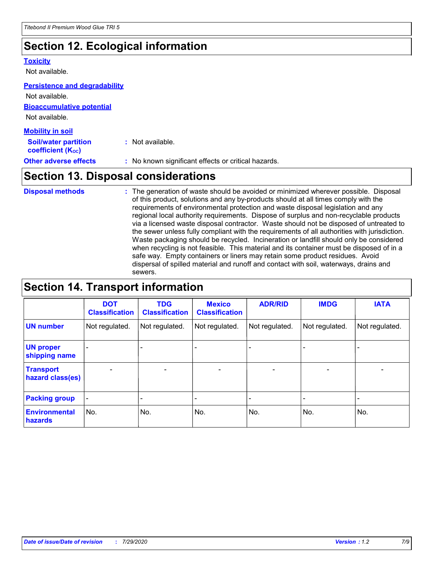### **Section 12. Ecological information**

#### **Toxicity**

Not available.

#### **Persistence and degradability**

**Bioaccumulative potential** Not available. **Mobility in soil** Not available.

| <b>INIUDIIILY III SUIL</b>                                    |                                                     |
|---------------------------------------------------------------|-----------------------------------------------------|
| <b>Soil/water partition</b><br>coefficient (K <sub>oc</sub> ) | : Not available.                                    |
| <b>Other adverse effects</b>                                  | : No known significant effects or critical hazards. |

### **Section 13. Disposal considerations**

The generation of waste should be avoided or minimized wherever possible. Disposal of this product, solutions and any by-products should at all times comply with the requirements of environmental protection and waste disposal legislation and any regional local authority requirements. Dispose of surplus and non-recyclable products via a licensed waste disposal contractor. Waste should not be disposed of untreated to the sewer unless fully compliant with the requirements of all authorities with jurisdiction. Waste packaging should be recycled. Incineration or landfill should only be considered when recycling is not feasible. This material and its container must be disposed of in a safe way. Empty containers or liners may retain some product residues. Avoid dispersal of spilled material and runoff and contact with soil, waterways, drains and sewers. **Disposal methods :**

### **Section 14. Transport information**

|                                      | <b>DOT</b><br><b>Classification</b> | <b>TDG</b><br><b>Classification</b> | <b>Mexico</b><br><b>Classification</b> | <b>ADR/RID</b>               | <b>IMDG</b>              | <b>IATA</b>              |
|--------------------------------------|-------------------------------------|-------------------------------------|----------------------------------------|------------------------------|--------------------------|--------------------------|
| <b>UN number</b>                     | Not regulated.                      | Not regulated.                      | Not regulated.                         | Not regulated.               | Not regulated.           | Not regulated.           |
| <b>UN proper</b><br>shipping name    |                                     |                                     |                                        |                              |                          |                          |
| <b>Transport</b><br>hazard class(es) | $\overline{\phantom{0}}$            | $\overline{\phantom{0}}$            | $\qquad \qquad$                        | $\qquad \qquad \blacksquare$ | $\overline{\phantom{0}}$ | $\overline{\phantom{0}}$ |
| <b>Packing group</b>                 | $\blacksquare$                      | -                                   |                                        | -                            |                          | -                        |
| <b>Environmental</b><br>hazards      | No.                                 | No.                                 | No.                                    | No.                          | No.                      | No.                      |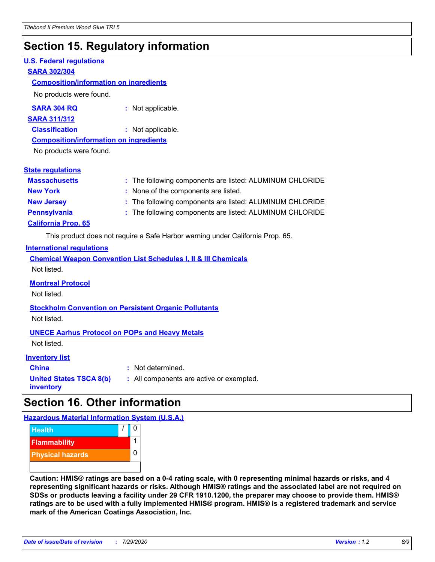### **Section 15. Regulatory information**

#### **U.S. Federal regulations**

#### **SARA 302/304**

#### **Composition/information on ingredients**

No products were found.

**SARA 304 RQ :** Not applicable.

#### **SARA 311/312**

**Classification :** Not applicable.

#### **Composition/information on ingredients**

No products were found.

#### **State regulations**

| <b>Massachusetts</b>       | : The following components are listed: ALUMINUM CHLORIDE |
|----------------------------|----------------------------------------------------------|
| <b>New York</b>            | : None of the components are listed.                     |
| <b>New Jersey</b>          | : The following components are listed: ALUMINUM CHLORIDE |
| <b>Pennsylvania</b>        | : The following components are listed: ALUMINUM CHLORIDE |
| <b>California Prop. 65</b> |                                                          |

This product does not require a Safe Harbor warning under California Prop. 65.

#### **International regulations**

|             |  |  | <b>Chemical Weapon Convention List Schedules I, II &amp; III Chemicals</b> |  |
|-------------|--|--|----------------------------------------------------------------------------|--|
| Not listed. |  |  |                                                                            |  |

#### **Montreal Protocol**

Not listed.

**Stockholm Convention on Persistent Organic Pollutants** Not listed.

#### **UNECE Aarhus Protocol on POPs and Heavy Metals**

Not listed.

#### **Inventory list**

**China :** Not determined. **United States TSCA 8(b) inventory**

**:** All components are active or exempted.

### **Section 16. Other information**

**Hazardous Material Information System (U.S.A.)**



**Caution: HMIS® ratings are based on a 0-4 rating scale, with 0 representing minimal hazards or risks, and 4 representing significant hazards or risks. Although HMIS® ratings and the associated label are not required on SDSs or products leaving a facility under 29 CFR 1910.1200, the preparer may choose to provide them. HMIS® ratings are to be used with a fully implemented HMIS® program. HMIS® is a registered trademark and service mark of the American Coatings Association, Inc.**